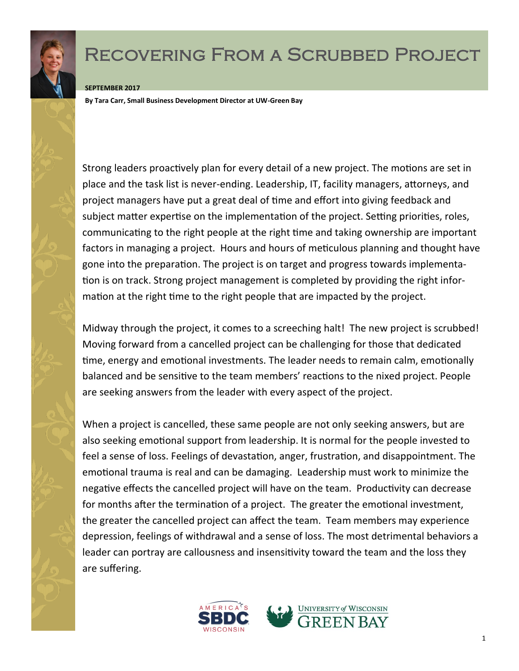

## Recovering From a Scrubbed Project

## **SEPTEMBER 2017**

**By Tara Carr, Small Business Development Director at UW-Green Bay**

Strong leaders proactively plan for every detail of a new project. The motions are set in place and the task list is never-ending. Leadership, IT, facility managers, attorneys, and project managers have put a great deal of time and effort into giving feedback and subject matter expertise on the implementation of the project. Setting priorities, roles, communicating to the right people at the right time and taking ownership are important factors in managing a project. Hours and hours of meticulous planning and thought have gone into the preparation. The project is on target and progress towards implementation is on track. Strong project management is completed by providing the right information at the right time to the right people that are impacted by the project.

Midway through the project, it comes to a screeching halt! The new project is scrubbed! Moving forward from a cancelled project can be challenging for those that dedicated time, energy and emotional investments. The leader needs to remain calm, emotionally balanced and be sensitive to the team members' reactions to the nixed project. People are seeking answers from the leader with every aspect of the project.

When a project is cancelled, these same people are not only seeking answers, but are also seeking emotional support from leadership. It is normal for the people invested to feel a sense of loss. Feelings of devastation, anger, frustration, and disappointment. The emotional trauma is real and can be damaging. Leadership must work to minimize the negative effects the cancelled project will have on the team. Productivity can decrease for months after the termination of a project. The greater the emotional investment, the greater the cancelled project can affect the team. Team members may experience depression, feelings of withdrawal and a sense of loss. The most detrimental behaviors a leader can portray are callousness and insensitivity toward the team and the loss they are suffering.